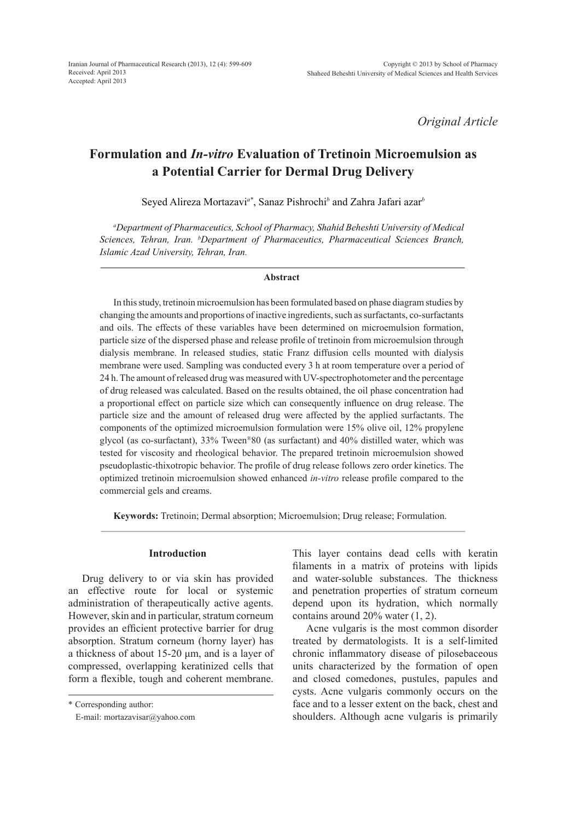*Original Article*

# **Formulation and** *In-vitro* **Evaluation of Tretinoin Microemulsion as a Potential Carrier for Dermal Drug Delivery**

Seyed Alireza Mortazavi*a\**, Sanaz Pishrochi*<sup>b</sup>* and Zahra Jafari azar*<sup>b</sup>*

*a Department of Pharmaceutics, School of Pharmacy, Shahid Beheshti University of Medical Sciences, Tehran, Iran. b Department of Pharmaceutics, Pharmaceutical Sciences Branch, Islamic Azad University, Tehran, Iran.*

#### **Abstract**

In this study, tretinoin microemulsion has been formulated based on phase diagram studies by changing the amounts and proportions of inactive ingredients, such as surfactants, co-surfactants and oils. The effects of these variables have been determined on microemulsion formation, particle size of the dispersed phase and release profile of tretinoin from microemulsion through dialysis membrane. In released studies, static Franz diffusion cells mounted with dialysis membrane were used. Sampling was conducted every 3 h at room temperature over a period of 24 h. The amount of released drug was measured with UV-spectrophotometer and the percentage of drug released was calculated. Based on the results obtained, the oil phase concentration had a proportional effect on particle size which can consequently influence on drug release. The particle size and the amount of released drug were affected by the applied surfactants. The components of the optimized microemulsion formulation were 15% olive oil, 12% propylene glycol (as co-surfactant), 33% Tween®80 (as surfactant) and 40% distilled water, which was tested for viscosity and rheological behavior. The prepared tretinoin microemulsion showed pseudoplastic-thixotropic behavior. The profile of drug release follows zero order kinetics. The optimized tretinoin microemulsion showed enhanced *in-vitro* release profile compared to the commercial gels and creams.

**Keywords:** Tretinoin; Dermal absorption; Microemulsion; Drug release; Formulation.

## **Introduction**

Drug delivery to or via skin has provided an effective route for local or systemic administration of therapeutically active agents. However, skin and in particular, stratum corneum provides an efficient protective barrier for drug absorption. Stratum corneum (horny layer) has a thickness of about 15-20 μm, and is a layer of compressed, overlapping keratinized cells that form a flexible, tough and coherent membrane. This layer contains dead cells with keratin filaments in a matrix of proteins with lipids and water-soluble substances. The thickness and penetration properties of stratum corneum depend upon its hydration, which normally contains around 20% water (1, 2).

Acne vulgaris is the most common disorder treated by dermatologists. It is a self-limited chronic inflammatory disease of pilosebaceous units characterized by the formation of open and closed comedones, pustules, papules and cysts. Acne vulgaris commonly occurs on the face and to a lesser extent on the back, chest and shoulders. Although acne vulgaris is primarily

<sup>\*</sup> Corresponding author:

E-mail: mortazavisar@yahoo.com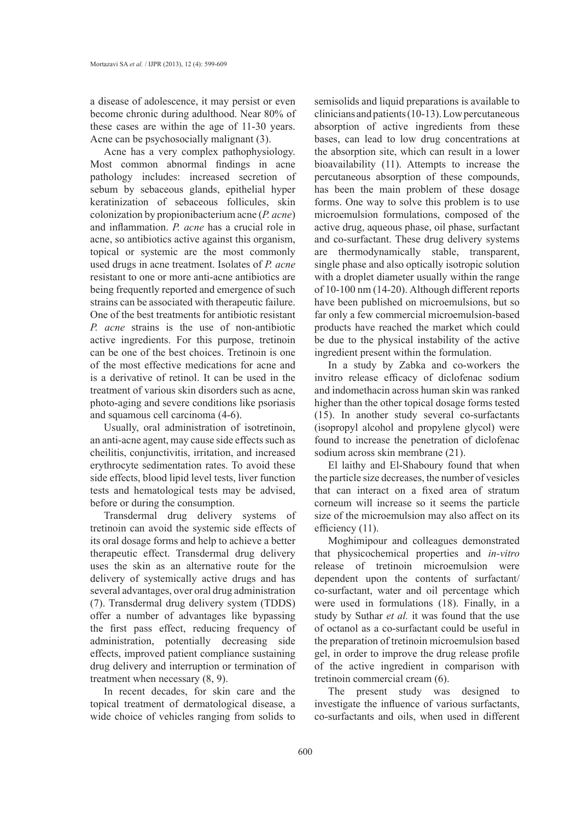a disease of adolescence, it may persist or even become chronic during adulthood. Near 80% of these cases are within the age of 11-30 years. Acne can be psychosocially malignant (3).

Acne has a very complex pathophysiology. Most common abnormal findings in acne pathology includes: increased secretion of sebum by sebaceous glands, epithelial hyper keratinization of sebaceous follicules, skin colonization by propionibacterium acne (*P. acne*) and inflammation. *P. acne* has a crucial role in acne, so antibiotics active against this organism, topical or systemic are the most commonly used drugs in acne treatment. Isolates of *P. acne* resistant to one or more anti-acne antibiotics are being frequently reported and emergence of such strains can be associated with therapeutic failure. One of the best treatments for antibiotic resistant *P. acne* strains is the use of non-antibiotic active ingredients. For this purpose, tretinoin can be one of the best choices. Tretinoin is one of the most effective medications for acne and is a derivative of retinol. It can be used in the treatment of various skin disorders such as acne, photo-aging and severe conditions like psoriasis and squamous cell carcinoma (4-6).

Usually, oral administration of isotretinoin, an anti-acne agent, may cause side effects such as cheilitis, conjunctivitis, irritation, and increased erythrocyte sedimentation rates. To avoid these side effects, blood lipid level tests, liver function tests and hematological tests may be advised, before or during the consumption.

Transdermal drug delivery systems of tretinoin can avoid the systemic side effects of its oral dosage forms and help to achieve a better therapeutic effect. Transdermal drug delivery uses the skin as an alternative route for the delivery of systemically active drugs and has several advantages, over oral drug administration (7). Transdermal drug delivery system (TDDS) offer a number of advantages like bypassing the first pass effect, reducing frequency of administration, potentially decreasing side effects, improved patient compliance sustaining drug delivery and interruption or termination of treatment when necessary (8, 9).

In recent decades, for skin care and the topical treatment of dermatological disease, a wide choice of vehicles ranging from solids to

semisolids and liquid preparations is available to clinicians and patients (10-13).Low percutaneous absorption of active ingredients from these bases, can lead to low drug concentrations at the absorption site, which can result in a lower bioavailability (11). Attempts to increase the percutaneous absorption of these compounds, has been the main problem of these dosage forms. One way to solve this problem is to use microemulsion formulations, composed of the active drug, aqueous phase, oil phase, surfactant and co-surfactant. These drug delivery systems are thermodynamically stable, transparent, single phase and also optically isotropic solution with a droplet diameter usually within the range of 10-100 nm (14-20). Although different reports have been published on microemulsions, but so far only a few commercial microemulsion-based products have reached the market which could be due to the physical instability of the active ingredient present within the formulation.

In a study by Zabka and co-workers the invitro release efficacy of diclofenac sodium and indomethacin across human skin was ranked higher than the other topical dosage forms tested (15). In another study several co-surfactants (isopropyl alcohol and propylene glycol) were found to increase the penetration of diclofenac sodium across skin membrane (21).

El laithy and El-Shaboury found that when the particle size decreases, the number of vesicles that can interact on a fixed area of stratum corneum will increase so it seems the particle size of the microemulsion may also affect on its efficiency (11).

Moghimipour and colleagues demonstrated that physicochemical properties and *in-vitro* release of tretinoin microemulsion were dependent upon the contents of surfactant/ co-surfactant, water and oil percentage which were used in formulations (18). Finally, in a study by Suthar *et al.* it was found that the use of octanol as a co-surfactant could be useful in the preparation of tretinoin microemulsion based gel, in order to improve the drug release profile of the active ingredient in comparison with tretinoin commercial cream (6).

The present study was designed to investigate the influence of various surfactants, co-surfactants and oils, when used in different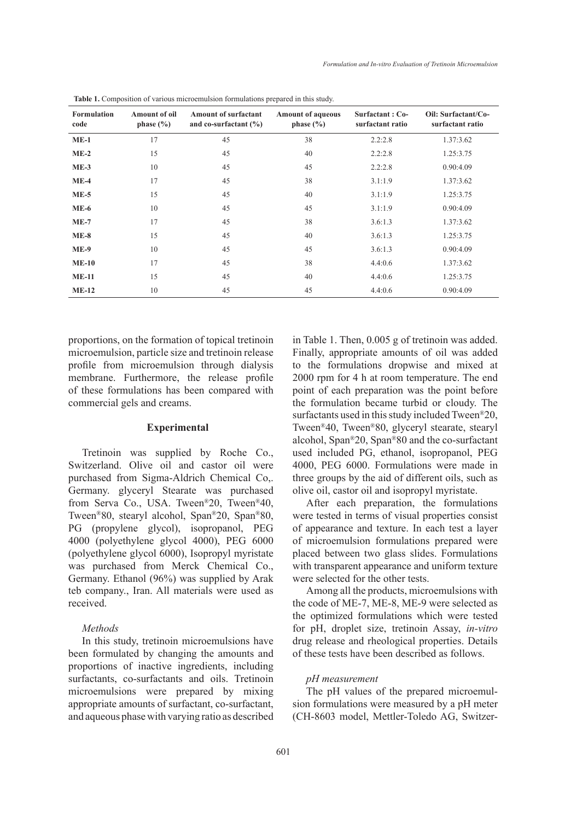| <b>Formulation</b><br>code | <b>Amount of oil</b><br>phase $(\% )$ | <b>Amount of surfactant</b><br>and co-surfactant $(\% )$ | <b>Amount of aqueous</b><br>phase $(\% )$ | Surfactant: Co-<br>surfactant ratio | Oil: Surfactant/Co-<br>surfactant ratio |
|----------------------------|---------------------------------------|----------------------------------------------------------|-------------------------------------------|-------------------------------------|-----------------------------------------|
| $ME-1$                     | 17                                    | 45                                                       | 38                                        | 2.2:2.8                             | 1.37:3.62                               |
| $ME-2$                     | 15                                    | 45                                                       | 40                                        | 2.2:2.8                             | 1.25:3.75                               |
| $ME-3$                     | 10                                    | 45                                                       | 45                                        | 2.2:2.8                             | 0.90:4.09                               |
| $ME-4$                     | 17                                    | 45                                                       | 38                                        | 3.1:1.9                             | 1.37:3.62                               |
| $ME-5$                     | 15                                    | 45                                                       | 40                                        | 3.1:1.9                             | 1.25:3.75                               |
| $ME-6$                     | 10                                    | 45                                                       | 45                                        | 3.1:1.9                             | 0.90:4.09                               |
| $ME-7$                     | 17                                    | 45                                                       | 38                                        | 3.6:1.3                             | 1.37:3.62                               |
| $ME-8$                     | 15                                    | 45                                                       | 40                                        | 3.6:1.3                             | 1.25:3.75                               |
| $ME-9$                     | 10                                    | 45                                                       | 45                                        | 3.6:1.3                             | 0.90:4.09                               |
| $ME-10$                    | 17                                    | 45                                                       | 38                                        | 4.4:0.6                             | 1.37:3.62                               |
| $ME-11$                    | 15                                    | 45                                                       | 40                                        | 4.4:0.6                             | 1.25:3.75                               |
| $ME-12$                    | 10                                    | 45                                                       | 45                                        | 4.4:0.6                             | 0.90:4.09                               |

**Table 1.** Composition of various microemulsion formulations prepared in this study.

proportions, on the formation of topical tretinoin microemulsion, particle size and tretinoin release profile from microemulsion through dialysis membrane. Furthermore, the release profile of these formulations has been compared with commercial gels and creams.

### **Experimental**

Tretinoin was supplied by Roche Co., Switzerland. Olive oil and castor oil were purchased from Sigma-Aldrich Chemical Co,. Germany. glyceryl Stearate was purchased from Serva Co., USA. Tween®20, Tween®40, Tween®80, stearyl alcohol, Span®20, Span®80, PG (propylene glycol), isopropanol, PEG 4000 (polyethylene glycol 4000), PEG 6000 (polyethylene glycol 6000), Isopropyl myristate was purchased from Merck Chemical Co., Germany. Ethanol (96%) was supplied by Arak teb company., Iran. All materials were used as received.

#### *Methods*

In this study, tretinoin microemulsions have been formulated by changing the amounts and proportions of inactive ingredients, including surfactants, co-surfactants and oils. Tretinoin microemulsions were prepared by mixing appropriate amounts of surfactant, co-surfactant, and aqueous phase with varying ratio as described in Table 1. Then, 0.005 g of tretinoin was added. Finally, appropriate amounts of oil was added to the formulations dropwise and mixed at 2000 rpm for 4 h at room temperature. The end point of each preparation was the point before the formulation became turbid or cloudy. The surfactants used in this study included Tween®20, Tween®40, Tween®80, glyceryl stearate, stearyl alcohol, Span®20, Span®80 and the co-surfactant used included PG, ethanol, isopropanol, PEG 4000, PEG 6000. Formulations were made in three groups by the aid of different oils, such as olive oil, castor oil and isopropyl myristate.

After each preparation, the formulations were tested in terms of visual properties consist of appearance and texture. In each test a layer of microemulsion formulations prepared were placed between two glass slides. Formulations with transparent appearance and uniform texture were selected for the other tests.

Among all the products, microemulsions with the code of ME-7, ME-8, ME-9 were selected as the optimized formulations which were tested for pH, droplet size, tretinoin Assay, *in-vitro* drug release and rheological properties. Details of these tests have been described as follows.

## *pH measurement*

The pH values of the prepared microemulsion formulations were measured by a pH meter (CH-8603 model, Mettler-Toledo AG, Switzer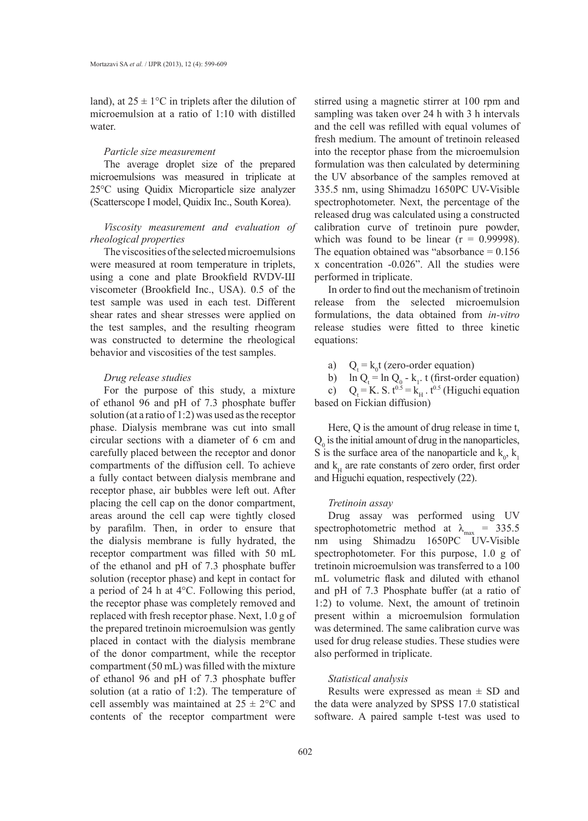land), at  $25 \pm 1$ °C in triplets after the dilution of microemulsion at a ratio of 1:10 with distilled water.

#### *Particle size measurement*

The average droplet size of the prepared microemulsions was measured in triplicate at 25°C using Quidix Microparticle size analyzer (Scatterscope I model, Quidix Inc., South Korea).

## *Viscosity measurement and evaluation of rheological properties*

The viscosities of the selected microemulsions were measured at room temperature in triplets, using a cone and plate Brookfield RVDV-Ш viscometer (Brookfield Inc., USA). 0.5 of the test sample was used in each test. Different shear rates and shear stresses were applied on the test samples, and the resulting rheogram was constructed to determine the rheological behavior and viscosities of the test samples.

### *Drug release studies*

For the purpose of this study, a mixture of ethanol 96 and pH of 7.3 phosphate buffer solution (at a ratio of 1:2) was used as the receptor phase. Dialysis membrane was cut into small circular sections with a diameter of 6 cm and carefully placed between the receptor and donor compartments of the diffusion cell. To achieve a fully contact between dialysis membrane and receptor phase, air bubbles were left out. After placing the cell cap on the donor compartment, areas around the cell cap were tightly closed by parafilm. Then, in order to ensure that the dialysis membrane is fully hydrated, the receptor compartment was filled with 50 mL of the ethanol and pH of 7.3 phosphate buffer solution (receptor phase) and kept in contact for a period of 24 h at 4°C. Following this period, the receptor phase was completely removed and replaced with fresh receptor phase. Next, 1.0 g of the prepared tretinoin microemulsion was gently placed in contact with the dialysis membrane of the donor compartment, while the receptor compartment (50 mL) was filled with the mixture of ethanol 96 and pH of 7.3 phosphate buffer solution (at a ratio of 1:2). The temperature of cell assembly was maintained at  $25 \pm 2$ °C and contents of the receptor compartment were

stirred using a magnetic stirrer at 100 rpm and sampling was taken over 24 h with 3 h intervals and the cell was refilled with equal volumes of fresh medium. The amount of tretinoin released into the receptor phase from the microemulsion formulation was then calculated by determining the UV absorbance of the samples removed at 335.5 nm, using Shimadzu 1650PC UV-Visible spectrophotometer. Next, the percentage of the released drug was calculated using a constructed calibration curve of tretinoin pure powder, which was found to be linear  $(r = 0.99998)$ . The equation obtained was "absorbance  $= 0.156$ x concentration -0.026". All the studies were performed in triplicate.

In order to find out the mechanism of tretinoin release from the selected microemulsion formulations, the data obtained from *in-vitro* release studies were fitted to three kinetic equations:

a)  $Q_t = k_0 t$  (zero-order equation)

b)  $\ln Q_t = \ln Q_0 - k_1$ . t (first-order equation)

c)  $Q_t = K$ . S.  $t^{0.5} = k_H$ .  $t^{0.5}$  (Higuchi equation based on Fickian diffusion)

Here, Q is the amount of drug release in time t,  $Q_0$  is the initial amount of drug in the nanoparticles, S is the surface area of the nanoparticle and  $k_0$ ,  $k_1$ and  $k_H$  are rate constants of zero order, first order and Higuchi equation, respectively (22).

### *Tretinoin assay*

Drug assay was performed using UV spectrophotometric method at  $\lambda_{\text{max}}$  = 335.5 nm using Shimadzu 1650PC UV-Visible spectrophotometer. For this purpose, 1.0 g of tretinoin microemulsion was transferred to a 100 mL volumetric flask and diluted with ethanol and pH of 7.3 Phosphate buffer (at a ratio of 1:2) to volume. Next, the amount of tretinoin present within a microemulsion formulation was determined. The same calibration curve was used for drug release studies. These studies were also performed in triplicate.

## *Statistical analysis*

Results were expressed as mean  $\pm$  SD and the data were analyzed by SPSS 17.0 statistical software. A paired sample t-test was used to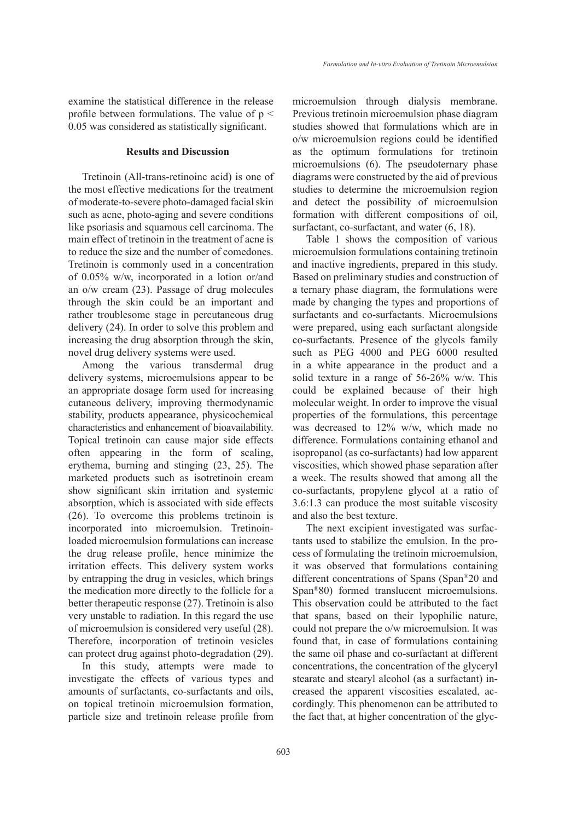examine the statistical difference in the release profile between formulations. The value of  $p <$ 0.05 was considered as statistically significant.

## **Results and Discussion**

Tretinoin (All-trans-retinoinc acid) is one of the most effective medications for the treatment of moderate-to-severe photo-damaged facial skin such as acne, photo-aging and severe conditions like psoriasis and squamous cell carcinoma. The main effect of tretinoin in the treatment of acne is to reduce the size and the number of comedones. Tretinoin is commonly used in a concentration of 0.05% w/w, incorporated in a lotion or/and an o/w cream (23). Passage of drug molecules through the skin could be an important and rather troublesome stage in percutaneous drug delivery (24). In order to solve this problem and increasing the drug absorption through the skin, novel drug delivery systems were used.

Among the various transdermal drug delivery systems, microemulsions appear to be an appropriate dosage form used for increasing cutaneous delivery, improving thermodynamic stability, products appearance, physicochemical characteristics and enhancement of bioavailability. Topical tretinoin can cause major side effects often appearing in the form of scaling, erythema, burning and stinging (23, 25). The marketed products such as isotretinoin cream show significant skin irritation and systemic absorption, which is associated with side effects (26). To overcome this problems tretinoin is incorporated into microemulsion. Tretinoinloaded microemulsion formulations can increase the drug release profile, hence minimize the irritation effects. This delivery system works by entrapping the drug in vesicles, which brings the medication more directly to the follicle for a better therapeutic response (27). Tretinoin is also very unstable to radiation. In this regard the use of microemulsion is considered very useful (28). Therefore, incorporation of tretinoin vesicles can protect drug against photo-degradation (29).

In this study, attempts were made to investigate the effects of various types and amounts of surfactants, co-surfactants and oils, on topical tretinoin microemulsion formation, particle size and tretinoin release profile from microemulsion through dialysis membrane. Previous tretinoin microemulsion phase diagram studies showed that formulations which are in o/w microemulsion regions could be identified as the optimum formulations for tretinoin microemulsions (6). The pseudoternary phase diagrams were constructed by the aid of previous studies to determine the microemulsion region and detect the possibility of microemulsion formation with different compositions of oil, surfactant, co-surfactant, and water (6, 18).

Table 1 shows the composition of various microemulsion formulations containing tretinoin and inactive ingredients, prepared in this study. Based on preliminary studies and construction of a ternary phase diagram, the formulations were made by changing the types and proportions of surfactants and co-surfactants. Microemulsions were prepared, using each surfactant alongside co-surfactants. Presence of the glycols family such as PEG 4000 and PEG 6000 resulted in a white appearance in the product and a solid texture in a range of 56-26% w/w. This could be explained because of their high molecular weight. In order to improve the visual properties of the formulations, this percentage was decreased to 12% w/w, which made no difference. Formulations containing ethanol and isopropanol (as co-surfactants) had low apparent viscosities, which showed phase separation after a week. The results showed that among all the co-surfactants, propylene glycol at a ratio of 3.6:1.3 can produce the most suitable viscosity and also the best texture.

The next excipient investigated was surfactants used to stabilize the emulsion. In the process of formulating the tretinoin microemulsion, it was observed that formulations containing different concentrations of Spans (Span®20 and Span®80) formed translucent microemulsions. This observation could be attributed to the fact that spans, based on their lypophilic nature, could not prepare the o/w microemulsion. It was found that, in case of formulations containing the same oil phase and co-surfactant at different concentrations, the concentration of the glyceryl stearate and stearyl alcohol (as a surfactant) increased the apparent viscosities escalated, accordingly. This phenomenon can be attributed to the fact that, at higher concentration of the glyc-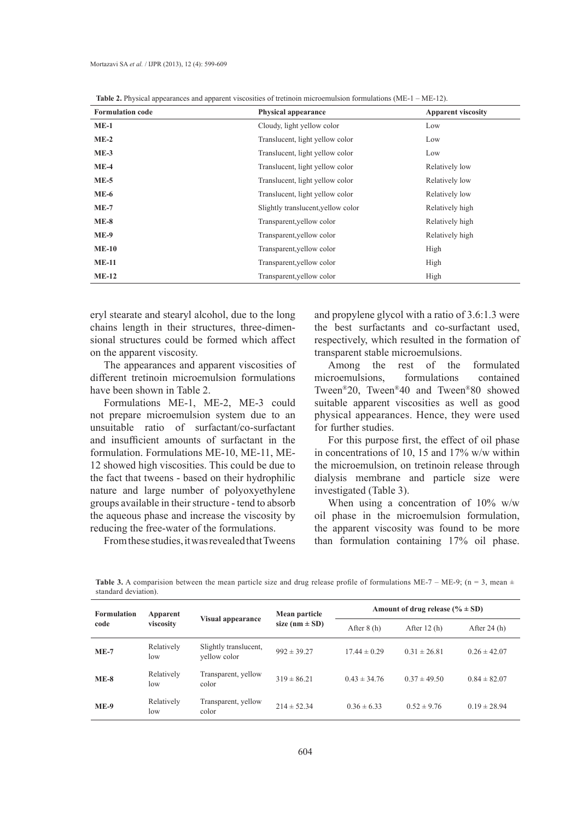| <b>Formulation code</b> | <b>Physical appearance</b>         | <b>Apparent viscosity</b> |  |  |
|-------------------------|------------------------------------|---------------------------|--|--|
| $ME-1$                  | Cloudy, light yellow color         | Low                       |  |  |
| $ME-2$                  | Translucent, light yellow color    | Low                       |  |  |
| $ME-3$                  | Translucent, light yellow color    | Low                       |  |  |
| $ME-4$                  | Translucent, light yellow color    | Relatively low            |  |  |
| $ME-5$                  | Translucent, light yellow color    | Relatively low            |  |  |
| <b>ME-6</b>             | Translucent, light yellow color    | Relatively low            |  |  |
| $ME-7$                  | Slightly translucent, yellow color | Relatively high           |  |  |
| $ME-8$                  | Transparent, yellow color          | Relatively high           |  |  |
| <b>ME-9</b>             | Transparent, yellow color          | Relatively high           |  |  |
| $ME-10$                 | Transparent, yellow color          | High                      |  |  |
| $ME-11$                 | Transparent, yellow color          | High                      |  |  |
| $ME-12$                 | Transparent, yellow color          | High                      |  |  |

**Table 2.** Physical appearances and apparent viscosities of tretinoin microemulsion formulations (ME-1 – ME-12).

eryl stearate and stearyl alcohol, due to the long chains length in their structures, three-dimensional structures could be formed which affect on the apparent viscosity.

The appearances and apparent viscosities of different tretinoin microemulsion formulations have been shown in Table 2.

Formulations ME-1, ME-2, ME-3 could not prepare microemulsion system due to an unsuitable ratio of surfactant/co-surfactant and insufficient amounts of surfactant in the formulation. Formulations ME-10, ME-11, ME-12 showed high viscosities. This could be due to the fact that tweens - based on their hydrophilic nature and large number of polyoxyethylene groups available in their structure - tend to absorb the aqueous phase and increase the viscosity by reducing the free-water of the formulations.

From these studies, it was revealed that Tweens

and propylene glycol with a ratio of 3.6:1.3 were the best surfactants and co-surfactant used, respectively, which resulted in the formation of transparent stable microemulsions.

Among the rest of the formulated microemulsions, formulations contained Tween®20, Tween®40 and Tween®80 showed suitable apparent viscosities as well as good physical appearances. Hence, they were used for further studies.

For this purpose first, the effect of oil phase in concentrations of 10, 15 and 17% w/w within the microemulsion, on tretinoin release through dialysis membrane and particle size were investigated (Table 3).

When using a concentration of 10% w/w oil phase in the microemulsion formulation, the apparent viscosity was found to be more than formulation containing 17% oil phase.

**Table 3.** A comparision between the mean particle size and drug release profile of formulations ME-7 – ME-9; (n = 3, mean  $\pm$ standard deviation).

| <b>Formulation</b><br>code | Apparent<br>viscosity | Visual appearance                     | Mean particle<br>size ( $nm \pm SD$ ) | Amount of drug release $(\% \pm SD)$ |                  |                  |
|----------------------------|-----------------------|---------------------------------------|---------------------------------------|--------------------------------------|------------------|------------------|
|                            |                       |                                       |                                       | After $8(h)$                         | After $12(h)$    | After $24(h)$    |
| $ME-7$                     | Relatively<br>low     | Slightly translucent,<br>vellow color | $992 \pm 39.27$                       | $17.44 \pm 0.29$                     | $0.31 \pm 26.81$ | $0.26 \pm 42.07$ |
| $ME-8$                     | Relatively<br>low     | Transparent, yellow<br>color          | $319 \pm 86.21$                       | $0.43 \pm 34.76$                     | $0.37 \pm 49.50$ | $0.84 \pm 82.07$ |
| <b>ME-9</b>                | Relatively<br>low     | Transparent, yellow<br>color          | $214 \pm 52.34$                       | $0.36 \pm 6.33$                      | $0.52 \pm 9.76$  | $0.19 \pm 28.94$ |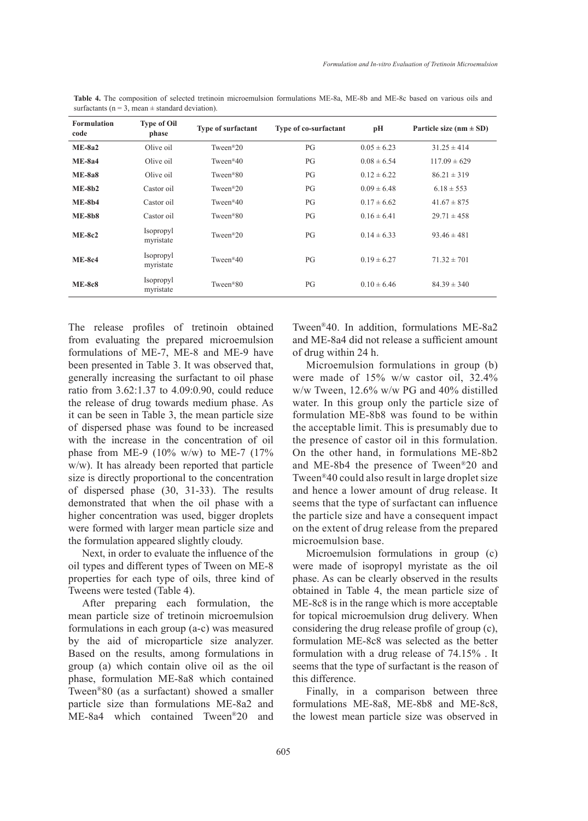| <b>Formulation</b><br>code | <b>Type of Oil</b><br>phase | Type of surfactant     | Type of co-surfactant | рH              | Particle size ( $nm \pm SD$ ) |
|----------------------------|-----------------------------|------------------------|-----------------------|-----------------|-------------------------------|
| $ME-8a2$                   | Olive oil                   | Tween $^{\circledR}20$ | PG                    | $0.05 \pm 6.23$ | $31.25 \pm 414$               |
| $ME-8a4$                   | Olive oil                   | Tween <sup>®40</sup>   | PG                    | $0.08 \pm 6.54$ | $117.09 \pm 629$              |
| $ME-8a8$                   | Olive oil                   | Tween <sup>®80</sup>   | PG                    | $0.12 \pm 6.22$ | $86.21 \pm 319$               |
| $ME-8b2$                   | Castor oil                  | Tween <sup>®20</sup>   | PG                    | $0.09 \pm 6.48$ | $6.18 \pm 553$                |
| $ME-8b4$                   | Castor oil                  | Tween <sup>®40</sup>   | PG                    | $0.17 \pm 6.62$ | $41.67 \pm 875$               |
| $ME-8b8$                   | Castor oil                  | Tween <sup>®80</sup>   | PG                    | $0.16 \pm 6.41$ | $29.71 \pm 458$               |
| $ME-8c2$                   | Isopropyl<br>myristate      | Tween $^{\circledR}20$ | PG                    | $0.14 \pm 6.33$ | $93.46 \pm 481$               |
| $ME-8c4$                   | Isopropyl<br>myristate      | Tween $^{\circledR}40$ | PG                    | $0.19 \pm 6.27$ | $71.32 \pm 701$               |
| <b>ME-8c8</b>              | Isopropyl<br>myristate      | Tween <sup>®80</sup>   | PG                    | $0.10 \pm 6.46$ | $84.39 \pm 340$               |

**Table 4.** The composition of selected tretinoin microemulsion formulations ME-8a, ME-8b and ME-8c based on various oils and surfactants ( $n = 3$ , mean  $\pm$  standard deviation).

The release profiles of tretinoin obtained from evaluating the prepared microemulsion formulations of ME-7, ME-8 and ME-9 have been presented in Table 3. It was observed that, generally increasing the surfactant to oil phase ratio from 3.62:1.37 to 4.09:0.90, could reduce the release of drug towards medium phase. As it can be seen in Table 3, the mean particle size of dispersed phase was found to be increased with the increase in the concentration of oil phase from ME-9 (10% w/w) to ME-7 (17% w/w). It has already been reported that particle size is directly proportional to the concentration of dispersed phase (30, 31-33). The results demonstrated that when the oil phase with a higher concentration was used, bigger droplets were formed with larger mean particle size and the formulation appeared slightly cloudy.

Next, in order to evaluate the influence of the oil types and different types of Tween on ME-8 properties for each type of oils, three kind of Tweens were tested (Table 4).

After preparing each formulation, the mean particle size of tretinoin microemulsion formulations in each group (a-c) was measured by the aid of microparticle size analyzer. Based on the results, among formulations in group (a) which contain olive oil as the oil phase, formulation ME-8a8 which contained Tween®80 (as a surfactant) showed a smaller particle size than formulations ME-8a2 and ME-8a4 which contained Tween®20 and Tween®40. In addition, formulations ME-8a2 and ME-8a4 did not release a sufficient amount of drug within 24 h.

Microemulsion formulations in group (b) were made of 15% w/w castor oil, 32.4% w/w Tween, 12.6% w/w PG and 40% distilled water. In this group only the particle size of formulation ME-8b8 was found to be within the acceptable limit. This is presumably due to the presence of castor oil in this formulation. On the other hand, in formulations ME-8b2 and ME-8b4 the presence of Tween®20 and Tween®40 could also result in large droplet size and hence a lower amount of drug release. It seems that the type of surfactant can influence the particle size and have a consequent impact on the extent of drug release from the prepared microemulsion base.

Microemulsion formulations in group (c) were made of isopropyl myristate as the oil phase. As can be clearly observed in the results obtained in Table 4, the mean particle size of ME-8c8 is in the range which is more acceptable for topical microemulsion drug delivery. When considering the drug release profile of group (c), formulation ME-8c8 was selected as the better formulation with a drug release of 74.15% . It seems that the type of surfactant is the reason of this difference.

Finally, in a comparison between three formulations ME-8a8, ME-8b8 and ME-8c8, the lowest mean particle size was observed in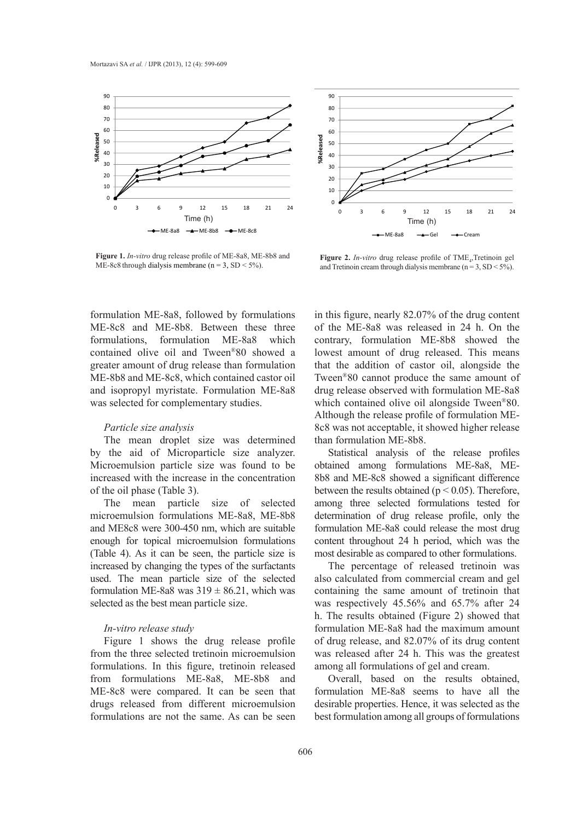

**Figure 1.** *In-vitro* drug release profile of ME-8a8, ME-8b8 and ME- $\frac{1}{2}$  and  $\frac{1}{2}$  through diagnosing members of  $\frac{1}{2}$ . Figure 1. *In-vitro* drug release profile of ME-8a8, ME-8b8 and Figure 2. *In-vitro* drug release profile of TME<sub>n</sub>Tretinoin ge ME-8c8 through dialysis membrane ( $n = 3$ , SD < 5%).



and  $\mathbf{r}_i$  and  $\mathbf{r}_i$  dialysis members of  $\mathbf{r}_i$  and  $\mathbf{r}_j$ ,  $\mathbf{r}_i$ ,  $\mathbf{r}_j$ ,  $\mathbf{r}_j$ ,  $\mathbf{r}_j$ ,  $\mathbf{r}_j$ ,  $\mathbf{r}_j$ ,  $\mathbf{r}_j$ ,  $\mathbf{r}_j$ ,  $\mathbf{r}_j$ ,  $\mathbf{r}_j$ ,  $\mathbf{r}_j$ ,  $\mathbf{r}_j$ ,  $\mathbf{r}_j$ ,  $\mathbf{$ and Tretinoin cream through dialysis membrane ( $n = 3$ ,  $SD < 5\%$ ). Figure 2. *In-vitro* drug release profile of TME<sub>4</sub>, Tretinoin gel

formulation ME-8a8, followed by formulations ME-8c8 and ME-8b8. Between these three of th formulations, formulation ME-8a8 which contra contained olive oil and Tween<sup>®</sup>80 showed a formulation ME-8a8, followed by formulations<br>ME-8c8 and ME-8b8. Between these three<br>formulations, formulation ME-8a8 which<br>contained olive oil and Tween®80 showed a<br>greater amount of drug release than formulation ME-8b8 and ME-8c8, which contained castor oil Twee and isopropyl myristate. Formulation ME-8a8 drug was selected for complementary studies. which ME-8b8 and ME-8c8, which contained castor oil and isopropyl myristate. Formulation ME-8a8 was selected for complementary studies.

## *Particle size analysis* **be a content was released after a set of the particle size analysis**

The mean droplet size was determined by the aid of Microparticle size analyzer. Microemulsion particle size was found to be increased with the increase in the concentration The mean droplet size was determined by the aid of Microparticle size analyzer. Microemulsion particle size was found to be increased with the increase in the concentration of the oil phase (Table 3).

> The mean particle size of selected microemulsion formulations ME-8a8, ME-8b8 and ME8 $c8$  were 300-450 nm, which are suitable enough for topical microemulsion formulations (Table 4). As it can be seen, the particle size is increased by changing the types of the surfactants used. The mean particle size of the selected formulation ME-8a8 was  $319 \pm 86.21$ , which was selected as the best mean particle size. microemulsion formulations ME-8a8, ME-8b8 and ME8c8 were 300-450 nm, which are suitable enough for topical microemulsion formulations (Table 4). As it can be seen, the particle size is increased by changing the types of t

## *In-vitro release study*

Figure 1 shows the drug release profile from the three selected tretinoin microemulsion formulations. In this figure, tretinoin released from formulations ME-8a8, ME-8b8 and ME-8c8 were compared. It can be seen that drugs released from different microemulsion formulations are not the same. As can be seen from formulations ME-8a8, ME-8b8 and ME-8c8 were compared. It can be seen that drugs released from different microemulsion

ons in this figure, nearly  $82.07\%$  of the drug content of the ME-8a8 was released in 24 h. On the For the the contract of the contract of the underwent the significant contract of the contract of the contract of the contract of the contract of the contract of the contract of the contract of the contract of the contract lowest amount of drug released. This means ion that the addition of castor oil, alongside the Tween<sup>®</sup>80 cannot produce the same amount of drug release observed with formulation ME-8a8 which contained olive oil alongside Tween®80. Although the release profile of formulation ME-8c8 was not acceptable, it showed higher release<br>hed than formulation ME-8b8. than formulation ME-8b8. formulation ME-8a8 for the drug content in this figure, nearly 32.07% of the drug content<br>formulations are not the same. As can be seen the content of the same of the ME-8a8 was released in 24 h. On the content<br>of our of t contrary, formulation ME-8b8 showed the<br>lowest amount of drug released. This means<br>that the addition of castor oil, alongside the<br>Tween<sup>®</sup>80 cannot produce the same amount of<br>drug release observed with formulation ME-8a8<br>w

zer. Statistical analysis of the release profiles be obtained among formulations ME-8a8, MEion 8b8 and ME-8c8 showed a significant difference 8b8 and ME-8c8 showed a significant difference between the results obtained ( $p < 0.05$ ). Therefore, among three selected formulations tested for determination of drug release profile, only the formulation ME-8a8 could release the most drug content throughout 24 h period, which was the content throughout 24 h period, which was the most desirable as compared to other formulations.

> The percentage of released tretinoin was also calculated from commercial cream and gel containing the same amount of tretinoin that *h*. The results obtained (Figure 2) showed that *selected formulation ME-8a8* h. The results obtained (Figure 2) showed that formulation ME-8a8 had the maximum amount of drug release, and  $82.07\%$  of its drug content was released after 24 h. This was the greatest among all formulations of gel and cream. The percentage of released tretinoin was also calculated from commercial cream and gel containing the same amount of tretinoin that was respectively 45.56% and 65.7% after 24 of drug release, and 82.07% of its drug content was released after 24 h. This was the greatest among all formulations of gel and cream.

> Overall, based on the results obtained. formulation ME-8a8 seems to have all the desirable properties. Hence, it was selected as the best formulation among all groups of formulations Overall, based on the results obtained, formulation ME-8a8 seems to have all the desirable properties. Hence, it was selected as the best formulation among all groups of formulations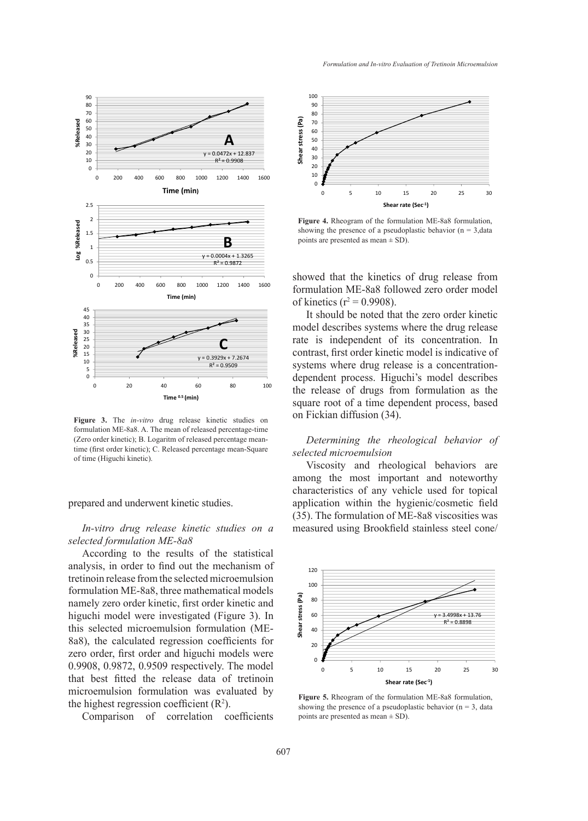

**Figure 3.** The *in-vitro* drug release kinetic studies on formulation ME-8a8. A. The mean of released percentage-time (Zero order kinetic); B. Logaritm of released percentage-meantime (first order kinetic); C. Released percentage mean-Square<br>of time (Higuchi kinetic). of time (Higuchi kinetic). time (first order kinetic); C. Released percentage mean-Square

### prepared and underwent kinetic studies.

## *In-vitro drug release kinetic studies on a* selected formulation ME-8a8

According to the results of the statistical analysis, in order to find out the mechanism of tretinoin release from the selected microemulsion tretinoin release from the selected microemulsion<br>formulation ME-8a8, three mathematical models namely zero order kinetic, first order kinetic and higuchi model were investigated (Figure 3). In this selected microemulsion formulation (ME-8a8), the calculated regression coefficients for 8a8), the calculated regression coefficients for zero order, first order and higuchi models were  $0.9908, 0.9872, 0.9509$  respectively. The model that best fitted the release data of tretinoin microemulsion formulation was evaluated by the highest regression coefficient  $(R^2)$ . the highest regression coefficient  $(R^2)$ . structure in the theoretic strategy and the between the time of a time of a time of a time of a time of a time of a time of a time of a time of a time of a time of a time of a time of a time of a time of a time of a time

Comparison of correlation coefficients



**Figure 4.** Rheogram of the formulation ME-8a8 formulation, showing the presence of a pseudoplastic behavior  $(n = 3$ , data points are presented as mean  $\pm$  SD). pomo un

showed that the kinetics of drug release from formulation ME-8a8 followed zero order model of kinetics ( $r^2 = 0.9908$ ).

It should be noted that the zero order kinetic model describes systems where the drug release rate is independent of its concentration. In contrast, first order kinetic model is indicative of systems where drug release is a concentrationdependent process. Higuchi's model describes the release of drugs from formulation as the square root of a time dependent process, based on Fickian diffusion  $(34)$ . model describes systems where the drug release<br>rate is independent of its concentration. In<br>contrast, first order kinetic model is indicative of

## *Determining the rheological behavior of selected microemulsion selected microemulsion*

Viscosity and rheological behaviors are among the most important and noteworthy characteristics of any vehicle used for topical enduceristics of any ventile asea for topical application within the hygienic/cosmetic field  $(35)$ . The formulation of ME-8a8 viscosities was  $a$  measured using Brookfield stainless steel cone/ Viscosity and rheological behaviors are<br>among the most important and noteworthy<br>characteristics of any vehicle used for topical<br>application within the hygienic/cosmetic field<br>(35). The formulation of ME-8a8 viscosities was Figure 3. The *in-vitro* drug release kinetic studies on  $(Zer)$  order kinetic); B. Logaritm of released percentage mean-<br>  $(Zer)$  order kinetic); B. Logaritm of released percentage mean-<br>
time (first order kinetic); C. Relea



**Figure 5.** Rheogram of the formulation ME-8a8 formulation, showing the presence of a pseudoplastic behavior  $(n = 3, data)$ points are presented as mean  $\pm$  SD). mean ± SD).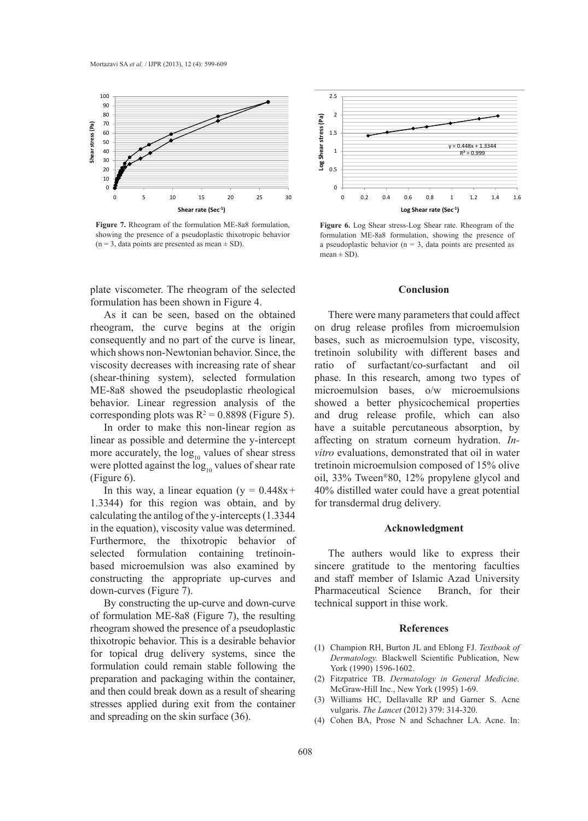

**Figure 7.** Rheogram of the formulation ME-8a8 formulation, showing the presence of a pseudoplastic thixotropic behavior  $(n = 3, data points are presented as mean  $\pm$  SD).$ presented as mean ± SD).



As it can be seen, based on the obtained As it can be seen, based on the obtained<br>rheogram, the curve begins at the origin consequently and no part of the curve is linear, which shows non-Newtonian behavior. Since, the tret viscosity decreases with increasing rate of shear (shear-thining system), selected formulation ME-8a8 showed the pseudoplastic rheological behavior. Linear regression analysis of the corresponding plots was  $R^2 = 0.8898$  (Figure 5). and which shows non-Newtonian behavior. Since, the<br>viscosity decreases with increasing rate of shear<br>(shear-thining system), selected formulation<br>ME-8a8 showed the pseudoplastic rheological

In order to make this non-linear region as have In order to make this non-linear region as has<br>linear as possible and determine the y-intercept affect more accurately, the  $log_{10}$  values of shear stress were plotted against the  $\log_{10}$  values of shear rate tret (Figure 6). of formulation ME-8a8 (Figure 7), the resulting properties and drug release profile, which can also have a suitable percutaneous absorption,

In this way, a linear equation  $(y = 0.448x + 409)$ 1.3344) for this region was obtain, and by calculating the antilog of the y-intercepts (1.3344 in the equation), viscosity value was determined. Furthermore, the thixotropic behavior of Furthermore, the thixotropic behavior of selected formulation containing tretinoinbased microemulsion was also examined by constructing the appropriate up-curves and down-curves (Figure 7). In this way, a linear equation ( $y = 0.448x + 1.3344$ ) for this region was obtain, and by calculating the antilog of the y-intercepts (1.3344 in the equation), viscosity value was determined.

> By constructing the up-curve and down-curve of formulation ME-8a8 (Figure 7), the resulting rheogram showed the presence of a pseudoplastic thixotropic behavior. This is a desirable behavior for topical drug delivery systems, since the formulation could remain stable following the preparation and packaging within the container, and then could break down as a result of shearing thixotropic behavior. This is a desirable behavior<br>for topical drug delivery systems, since the<br>formulation could remain stable following the<br>preparation and packaging within the container,<br>and then could break down as a r and spreading on the skin surface  $(36)$ .



**Figure 6.** Log Shear stress-Log Shear rate. Rheogram of the formulation ME-8a8 formulation, showing the presence of a pseudoplastic behavior ( $n = 3$ , data points are presented as  $mean \pm SD$ ).

## **Conclusion**

ned. Flere were many parameters that could affect on drug release profiles from microemulsion bases, such as microemulsion type, viscosity, the tretinoin solubility with different bases and ratio of surfactant/co-surfactant and oil phase. In this research, among two types of microemulsion bases, o/w microemulsions showed a better physicochemical properties and drug release profile, which can also have a suitable percutaneous absorption, by affecting on stratum corneum hydration. *In*vitro evaluations, demonstrated that oil in water tretinoin microemulsion composed of 15% olive oil, 33% Tween<sup>®</sup>80, 12% propylene glycol and 40% distilled water could have a great potential for transdermal drug delivery. There were many parameters that could affect<br>on drug release profiles from microemulsion<br>bases, such as microemulsion type, viscosity,<br>tretinoin solubility with different bases and<br>ratio of surfactant/co-surfactant and oil and drug release profile, which can also<br>have a suitable percutaneous absorption, by<br>affecting on stratum corneum hydration. *In*- $\epsilon$ m on drug referse profites from interocratision

#### $A$ cknowledgment *Blackwell Sciences*

The authers would like to express their sincere gratitude to the mentoring faculties and staff member of Islamic Azad University Pharmaceutical Science Branch, for their technical support in thise work. Fire authors would like to express their

## $References$

- (1) Champion RH, Burton JL and Eblong FJ. *Textbook of* Dermatology. Blackwell Scientific Publication, New York (1990) 1596-1602. (1)<br>(2)<br>(3)
- Fitzpatrice TB. *Dermatology in General Medicine*. McGraw-Hill Inc., New York (1995) 1-69. (2)
- Williams HC, Dellavalle RP and Garner S. Acne vulgaris. *The Lancet* (2012) 379: 314-320. (3)
- (4) Cohen BA, Prose N and Schachner LA. Acne. In: